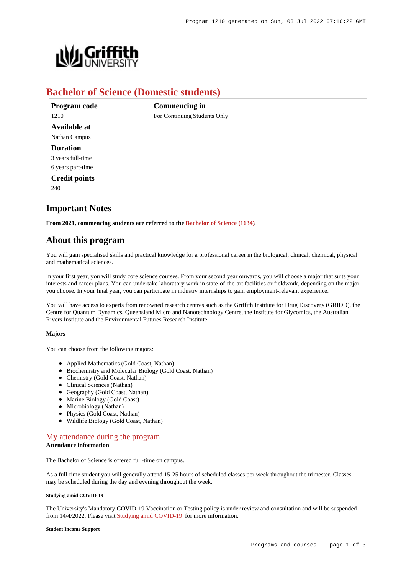

## **Bachelor of Science (Domestic students)**

**Commencing in**

For Continuing Students Only

**Program code** 1210 **Available at** Nathan Campus **Duration** 3 years full-time 6 years part-time **Credit points** 240

# **Important Notes**

**From 2021, commencing students are referred to the [Bachelor of Science \(1634\)](https://www148.griffith.edu.au/Search/Results?SearchText=1634).**

## **About this program**

You will gain specialised skills and practical knowledge for a professional career in the biological, clinical, chemical, physical and mathematical sciences.

In your first year, you will study core science courses. From your second year onwards, you will choose a major that suits your interests and career plans. You can undertake laboratory work in state-of-the-art facilities or fieldwork, depending on the major you choose. In your final year, you can participate in industry internships to gain employment-relevant experience.

You will have access to experts from renowned research centres such as the Griffith Institute for Drug Discovery (GRIDD), the Centre for Quantum Dynamics, Queensland Micro and Nanotechnology Centre, the Institute for Glycomics, the Australian Rivers Institute and the Environmental Futures Research Institute.

## **Majors**

You can choose from the following majors:

- Applied Mathematics (Gold Coast, Nathan)
- Biochemistry and Molecular Biology (Gold Coast, Nathan)
- Chemistry (Gold Coast, Nathan)
- Clinical Sciences (Nathan)
- Geography (Gold Coast, Nathan)
- Marine Biology (Gold Coast)
- Microbiology (Nathan)
- Physics (Gold Coast, Nathan)
- Wildlife Biology (Gold Coast, Nathan)

## [My attendance during the program](https://www148.griffith.edu.au/programs-courses/Program/1210/Overview/Domestic#attendance) **Attendance information**

The Bachelor of Science is offered full-time on campus.

As a full-time student you will generally attend 15-25 hours of scheduled classes per week throughout the trimester. Classes may be scheduled during the day and evening throughout the week.

#### **Studying amid COVID-19**

The University's Mandatory COVID-19 Vaccination or Testing policy is under review and consultation and will be suspended from 14/4/2022. Please visit [Studying amid COVID-19](https://www.griffith.edu.au/coronavirus/studying-amid-covid-19) for more information.

#### **Student Income Support**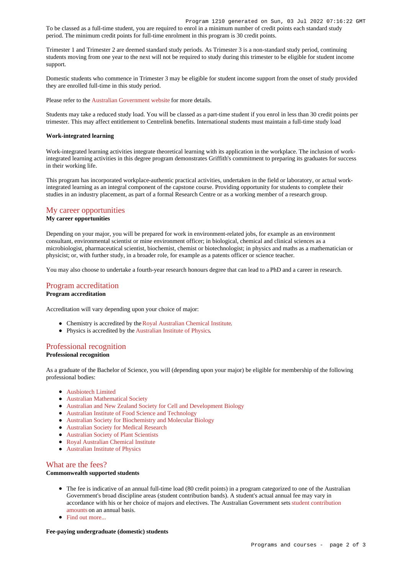To be classed as a full-time student, you are required to enrol in a minimum number of credit points each standard study period. The minimum credit points for full-time enrolment in this program is 30 credit points.

Trimester 1 and Trimester 2 are deemed standard study periods. As Trimester 3 is a non-standard study period, continuing students moving from one year to the next will not be required to study during this trimester to be eligible for student income support.

Domestic students who commence in Trimester 3 may be eligible for student income support from the onset of study provided they are enrolled full-time in this study period.

Please refer to the [Australian Government website](https://www.humanservices.gov.au/customer/dhs/centrelink) for more details.

Students may take a reduced study load. You will be classed as a part-time student if you enrol in less than 30 credit points per trimester. This may affect entitlement to Centrelink benefits. International students must maintain a full-time study load

#### **Work-integrated learning**

Work-integrated learning activities integrate theoretical learning with its application in the workplace. The inclusion of workintegrated learning activities in this degree program demonstrates Griffith's commitment to preparing its graduates for success in their working life.

This program has incorporated workplace-authentic practical activities, undertaken in the field or laboratory, or actual workintegrated learning as an integral component of the capstone course. Providing opportunity for students to complete their studies in an industry placement, as part of a formal Research Centre or as a working member of a research group.

## [My career opportunities](https://www148.griffith.edu.au/programs-courses/Program/1210/Overview/Domestic#opportunities)

### **My career opportunities**

Depending on your major, you will be prepared for work in environment-related jobs, for example as an environment consultant, environmental scientist or mine environment officer; in biological, chemical and clinical sciences as a microbiologist, pharmaceutical scientist, biochemist, chemist or biotechnologist; in physics and maths as a mathematician or physicist; or, with further study, in a broader role, for example as a patents officer or science teacher.

You may also choose to undertake a fourth-year research honours degree that can lead to a PhD and a career in research.

## [Program accreditation](https://www148.griffith.edu.au/programs-courses/Program/1210/Overview/Domestic#accreditation)

## **Program accreditation**

Accreditation will vary depending upon your choice of major:

- Chemistry is accredited by the [Royal Australian Chemical Institute](https://www.raci.org.au/).
- Physics is accredited by the [Australian Institute of Physics](http://www.aip.org.au/info/).

## [Professional recognition](https://www148.griffith.edu.au/programs-courses/Program/1210/Overview/Domestic#recognition)

## **Professional recognition**

As a graduate of the Bachelor of Science, you will (depending upon your major) be eligible for membership of the following professional bodies:

- [Ausbiotech Limited](http://www.ausbiotech.org/)
- [Australian Mathematical Society](http://www.austms.org.au/)
- [Australian and New Zealand Society for Cell and Development Biology](http://www.anzscdb.org/)
- [Australian Institute of Food Science and Technology](http://www.aifst.asn.au/)
- [Australian Society for Biochemistry and Molecular Biology](https://www.asbmb.org.au/)
- [Australian Society for Medical Research](http://www.asmr.org.au/)
- [Australian Society of Plant Scientists](http://www.asps.org.au/)
- [Royal Australian Chemical Institute](https://www.raci.org.au/)
- [Australian Institute of Physics](http://www.aip.org.au/info/)

## [What are the fees?](https://www148.griffith.edu.au/programs-courses/Program/1210/Overview/Domestic#fees)

## **Commonwealth supported students**

- The fee is indicative of an annual full-time load (80 credit points) in a program categorized to one of the Australian Government's broad discipline areas (student contribution bands). A student's actual annual fee may vary in accordance with his or her choice of majors and electives. The Australian Government sets [student contribution](http://studyassist.gov.au/sites/studyassist/helppayingmyfees/csps/pages/student-contribution-amounts) [amounts](http://studyassist.gov.au/sites/studyassist/helppayingmyfees/csps/pages/student-contribution-amounts) on an annual basis.
- Find out more...

#### **Fee-paying undergraduate (domestic) students**